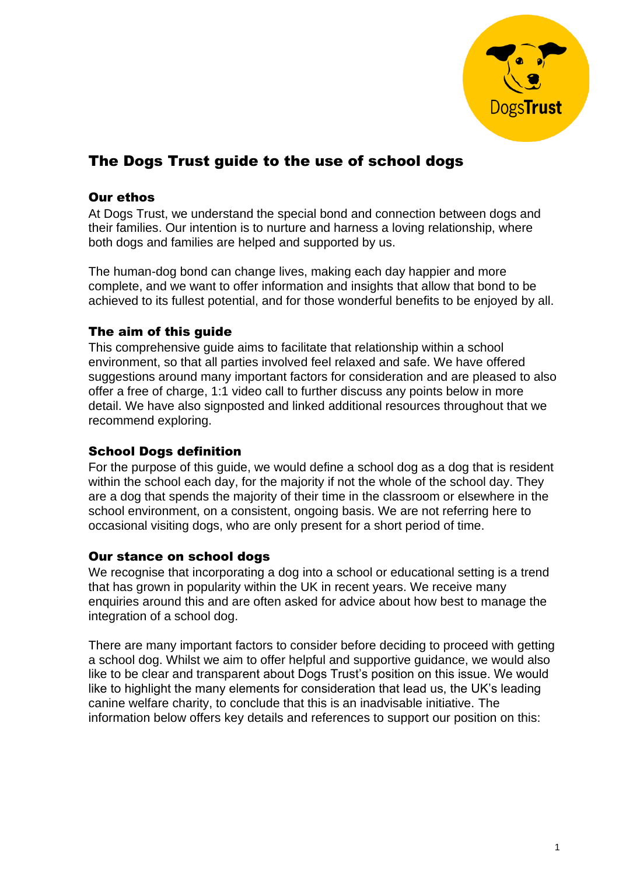

# The Dogs Trust guide to the use of school dogs

# Our ethos

At Dogs Trust, we understand the special bond and connection between dogs and their families. Our intention is to nurture and harness a loving relationship, where both dogs and families are helped and supported by us.

The human-dog bond can change lives, making each day happier and more complete, and we want to offer information and insights that allow that bond to be achieved to its fullest potential, and for those wonderful benefits to be enjoyed by all.

## The aim of this guide

This comprehensive guide aims to facilitate that relationship within a school environment, so that all parties involved feel relaxed and safe. We have offered suggestions around many important factors for consideration and are pleased to also offer a free of charge, 1:1 video call to further discuss any points below in more detail. We have also signposted and linked additional resources throughout that we recommend exploring.

## School Dogs definition

For the purpose of this guide, we would define a school dog as a dog that is resident within the school each day, for the majority if not the whole of the school day. They are a dog that spends the majority of their time in the classroom or elsewhere in the school environment, on a consistent, ongoing basis. We are not referring here to occasional visiting dogs, who are only present for a short period of time.

## Our stance on school dogs

We recognise that incorporating a dog into a school or educational setting is a trend that has grown in popularity within the UK in recent years. We receive many enquiries around this and are often asked for advice about how best to manage the integration of a school dog.

There are many important factors to consider before deciding to proceed with getting a school dog. Whilst we aim to offer helpful and supportive guidance, we would also like to be clear and transparent about Dogs Trust's position on this issue. We would like to highlight the many elements for consideration that lead us, the UK's leading canine welfare charity, to conclude that this is an inadvisable initiative. The information below offers key details and references to support our position on this: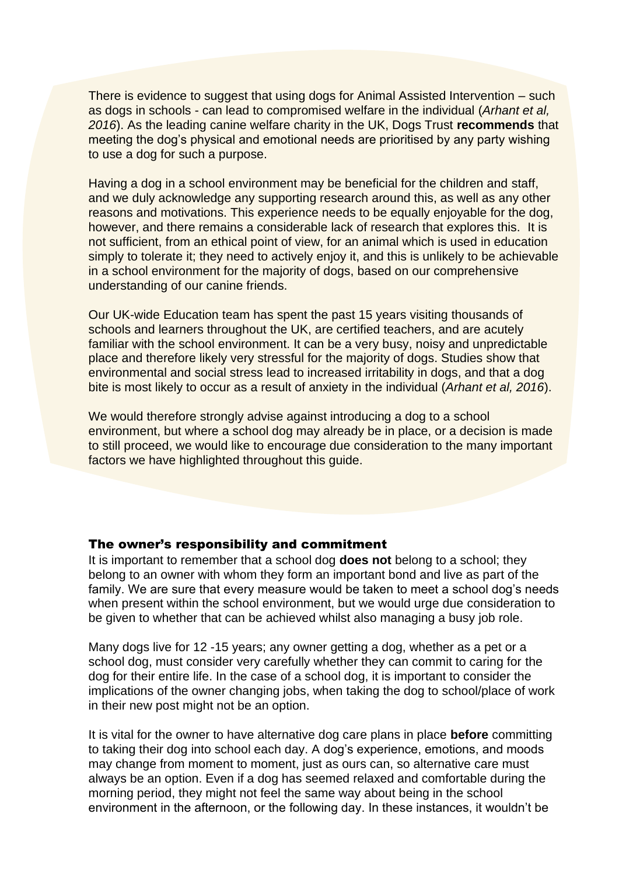There is evidence to suggest that using dogs for Animal Assisted Intervention – such as dogs in schools - can lead to compromised welfare in the individual (*Arhant et al, 2016*). As the leading canine welfare charity in the UK, Dogs Trust **recommends** that meeting the dog's physical and emotional needs are prioritised by any party wishing to use a dog for such a purpose.

Having a dog in a school environment may be beneficial for the children and staff, and we duly acknowledge any supporting research around this, as well as any other reasons and motivations. This experience needs to be equally enjoyable for the dog, however, and there remains a considerable lack of research that explores this. It is not sufficient, from an ethical point of view, for an animal which is used in education simply to tolerate it; they need to actively enjoy it, and this is unlikely to be achievable in a school environment for the majority of dogs, based on our comprehensive understanding of our canine friends.

Our UK-wide Education team has spent the past 15 years visiting thousands of schools and learners throughout the UK, are certified teachers, and are acutely familiar with the school environment. It can be a very busy, noisy and unpredictable place and therefore likely very stressful for the majority of dogs. Studies show that environmental and social stress lead to increased irritability in dogs, and that a dog bite is most likely to occur as a result of anxiety in the individual (*Arhant et al, 2016*).

We would therefore strongly advise against introducing a dog to a school environment, but where a school dog may already be in place, or a decision is made to still proceed, we would like to encourage due consideration to the many important factors we have highlighted throughout this guide.

#### The owner's responsibility and commitment

It is important to remember that a school dog **does not** belong to a school; they belong to an owner with whom they form an important bond and live as part of the family. We are sure that every measure would be taken to meet a school dog's needs when present within the school environment, but we would urge due consideration to be given to whether that can be achieved whilst also managing a busy job role.

Many dogs live for 12 -15 years; any owner getting a dog, whether as a pet or a school dog, must consider very carefully whether they can commit to caring for the dog for their entire life. In the case of a school dog, it is important to consider the implications of the owner changing jobs, when taking the dog to school/place of work in their new post might not be an option.

It is vital for the owner to have alternative dog care plans in place **before** committing to taking their dog into school each day. A dog's experience, emotions, and moods may change from moment to moment, just as ours can, so alternative care must always be an option. Even if a dog has seemed relaxed and comfortable during the morning period, they might not feel the same way about being in the school environment in the afternoon, or the following day. In these instances, it wouldn't be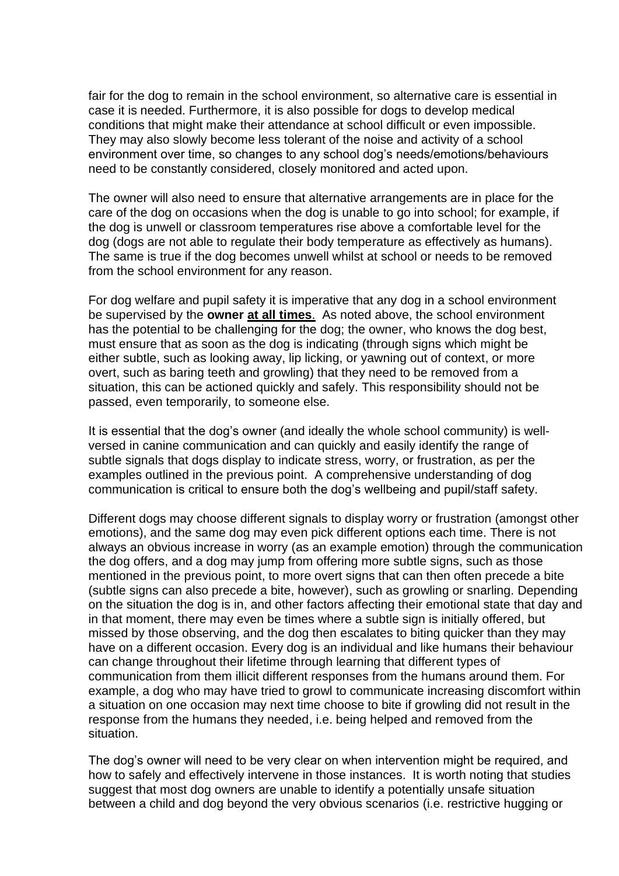fair for the dog to remain in the school environment, so alternative care is essential in case it is needed. Furthermore, it is also possible for dogs to develop medical conditions that might make their attendance at school difficult or even impossible. They may also slowly become less tolerant of the noise and activity of a school environment over time, so changes to any school dog's needs/emotions/behaviours need to be constantly considered, closely monitored and acted upon.

The owner will also need to ensure that alternative arrangements are in place for the care of the dog on occasions when the dog is unable to go into school; for example, if the dog is unwell or classroom temperatures rise above a comfortable level for the dog (dogs are not able to regulate their body temperature as effectively as humans). The same is true if the dog becomes unwell whilst at school or needs to be removed from the school environment for any reason.

For dog welfare and pupil safety it is imperative that any dog in a school environment be supervised by the **owner at all times**. As noted above, the school environment has the potential to be challenging for the dog; the owner, who knows the dog best, must ensure that as soon as the dog is indicating (through signs which might be either subtle, such as looking away, lip licking, or yawning out of context, or more overt, such as baring teeth and growling) that they need to be removed from a situation, this can be actioned quickly and safely. This responsibility should not be passed, even temporarily, to someone else.

It is essential that the dog's owner (and ideally the whole school community) is wellversed in canine communication and can quickly and easily identify the range of subtle signals that dogs display to indicate stress, worry, or frustration, as per the examples outlined in the previous point. A comprehensive understanding of dog communication is critical to ensure both the dog's wellbeing and pupil/staff safety.

Different dogs may choose different signals to display worry or frustration (amongst other emotions), and the same dog may even pick different options each time. There is not always an obvious increase in worry (as an example emotion) through the communication the dog offers, and a dog may jump from offering more subtle signs, such as those mentioned in the previous point, to more overt signs that can then often precede a bite (subtle signs can also precede a bite, however), such as growling or snarling. Depending on the situation the dog is in, and other factors affecting their emotional state that day and in that moment, there may even be times where a subtle sign is initially offered, but missed by those observing, and the dog then escalates to biting quicker than they may have on a different occasion. Every dog is an individual and like humans their behaviour can change throughout their lifetime through learning that different types of communication from them illicit different responses from the humans around them. For example, a dog who may have tried to growl to communicate increasing discomfort within a situation on one occasion may next time choose to bite if growling did not result in the response from the humans they needed, i.e. being helped and removed from the situation.

The dog's owner will need to be very clear on when intervention might be required, and how to safely and effectively intervene in those instances. It is worth noting that studies suggest that most dog owners are unable to identify a potentially unsafe situation between a child and dog beyond the very obvious scenarios (i.e. restrictive hugging or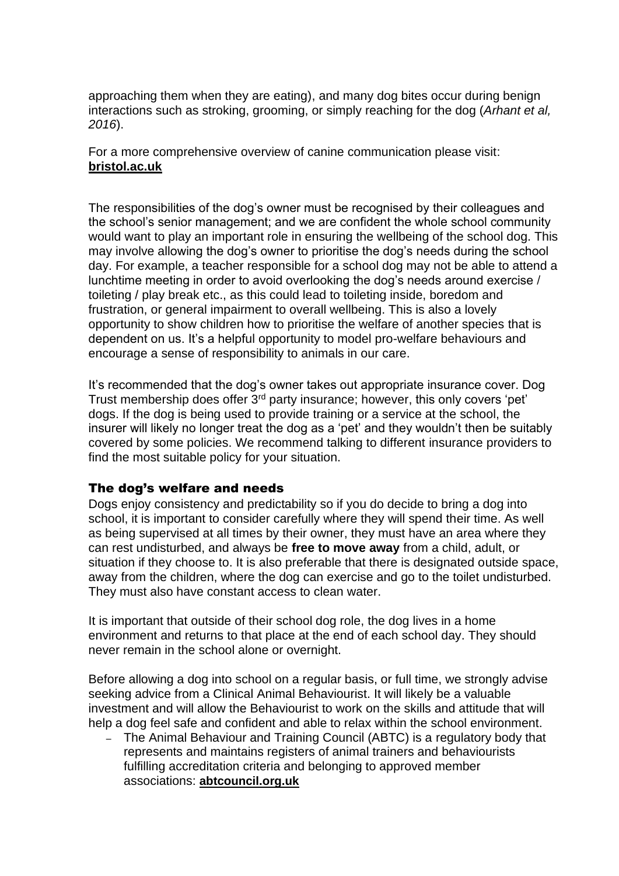approaching them when they are eating), and many dog bites occur during benign interactions such as stroking, grooming, or simply reaching for the dog (*Arhant et al, 2016*).

For a more comprehensive overview of canine communication please visit: **[bristol.ac.uk](https://www.bristol.ac.uk/vet-school/services/behaviour-clinic/dogbehaviouralsigns/)**

The responsibilities of the dog's owner must be recognised by their colleagues and the school's senior management; and we are confident the whole school community would want to play an important role in ensuring the wellbeing of the school dog. This may involve allowing the dog's owner to prioritise the dog's needs during the school day. For example, a teacher responsible for a school dog may not be able to attend a lunchtime meeting in order to avoid overlooking the dog's needs around exercise / toileting / play break etc., as this could lead to toileting inside, boredom and frustration, or general impairment to overall wellbeing. This is also a lovely opportunity to show children how to prioritise the welfare of another species that is dependent on us. It's a helpful opportunity to model pro-welfare behaviours and encourage a sense of responsibility to animals in our care.

It's recommended that the dog's owner takes out appropriate insurance cover. Dog Trust membership does offer 3<sup>rd</sup> party insurance; however, this only covers 'pet' dogs. If the dog is being used to provide training or a service at the school, the insurer will likely no longer treat the dog as a 'pet' and they wouldn't then be suitably covered by some policies. We recommend talking to different insurance providers to find the most suitable policy for your situation.

## The dog's welfare and needs

Dogs enjoy consistency and predictability so if you do decide to bring a dog into school, it is important to consider carefully where they will spend their time. As well as being supervised at all times by their owner, they must have an area where they can rest undisturbed, and always be **free to move away** from a child, adult, or situation if they choose to. It is also preferable that there is designated outside space, away from the children, where the dog can exercise and go to the toilet undisturbed. They must also have constant access to clean water.

It is important that outside of their school dog role, the dog lives in a home environment and returns to that place at the end of each school day. They should never remain in the school alone or overnight.

Before allowing a dog into school on a regular basis, or full time, we strongly advise seeking advice from a Clinical Animal Behaviourist. It will likely be a valuable investment and will allow the Behaviourist to work on the skills and attitude that will help a dog feel safe and confident and able to relax within the school environment.

– The Animal Behaviour and Training Council (ABTC) is a regulatory body that represents and maintains registers of animal trainers and behaviourists fulfilling accreditation criteria and belonging to approved member associations: **[abtcouncil.org.uk](https://www.abtc.org.uk/)**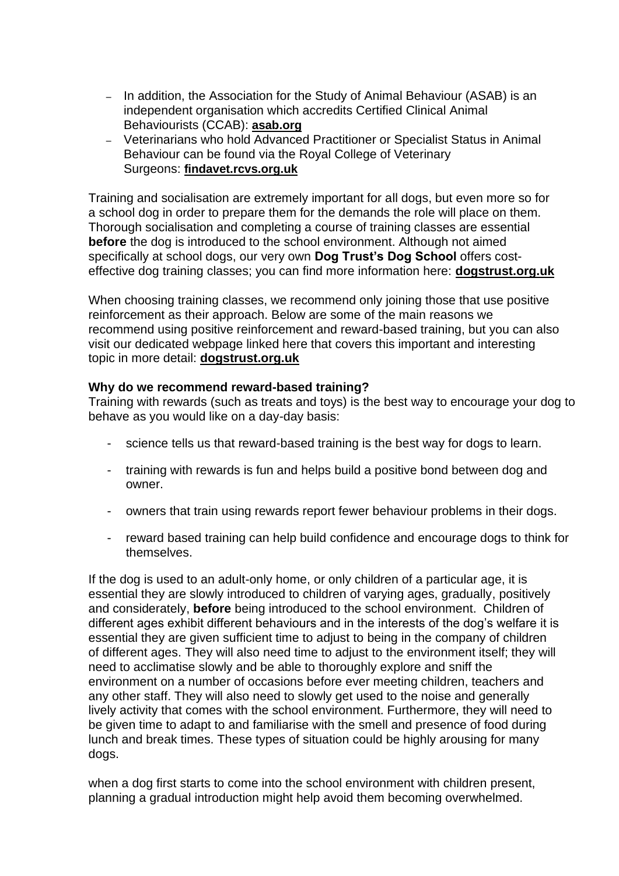- In addition, the Association for the Study of Animal Behaviour (ASAB) is an independent organisation which accredits Certified Clinical Animal Behaviourists (CCAB): **[asab.org](https://www.asab.org/ccab-register)**
- Veterinarians who hold Advanced Practitioner or Specialist Status in Animal Behaviour can be found via the Royal College of Veterinary Surgeons: **[findavet.rcvs.org.uk](https://findavet.rcvs.org.uk/find-a-vet-surgeon/)**

Training and socialisation are extremely important for all dogs, but even more so for a school dog in order to prepare them for the demands the role will place on them. Thorough socialisation and completing a course of training classes are essential **before** the dog is introduced to the school environment. Although not aimed specifically at school dogs, our very own **Dog Trust's Dog School** offers costeffective dog training classes; you can find more information here: **[dogstrust.org.uk](https://www.dogstrust.org.uk/help-advice/dog-school/)**

When choosing training classes, we recommend only joining those that use positive reinforcement as their approach. Below are some of the main reasons we recommend using positive reinforcement and reward-based training, but you can also visit our dedicated webpage linked here that covers this important and interesting topic in more detail: **[dogstrust.org.uk](https://www.dogstrust.org.uk/help-advice/training/positive-reinforcement-training-with-rewards)**

#### **Why do we recommend reward-based training?**

Training with rewards (such as treats and toys) is the best way to encourage your dog to behave as you would like on a day-day basis:

- science tells us that reward-based training is the best way for dogs to learn.
- training with rewards is fun and helps build a positive bond between dog and owner.
- owners that train using rewards report fewer behaviour problems in their dogs.
- reward based training can help build confidence and encourage dogs to think for themselves.

If the dog is used to an adult-only home, or only children of a particular age, it is essential they are slowly introduced to children of varying ages, gradually, positively and considerately, **before** being introduced to the school environment. Children of different ages exhibit different behaviours and in the interests of the dog's welfare it is essential they are given sufficient time to adjust to being in the company of children of different ages. They will also need time to adjust to the environment itself; they will need to acclimatise slowly and be able to thoroughly explore and sniff the environment on a number of occasions before ever meeting children, teachers and any other staff. They will also need to slowly get used to the noise and generally lively activity that comes with the school environment. Furthermore, they will need to be given time to adapt to and familiarise with the smell and presence of food during lunch and break times. These types of situation could be highly arousing for many dogs.

when a dog first starts to come into the school environment with children present, planning a gradual introduction might help avoid them becoming overwhelmed.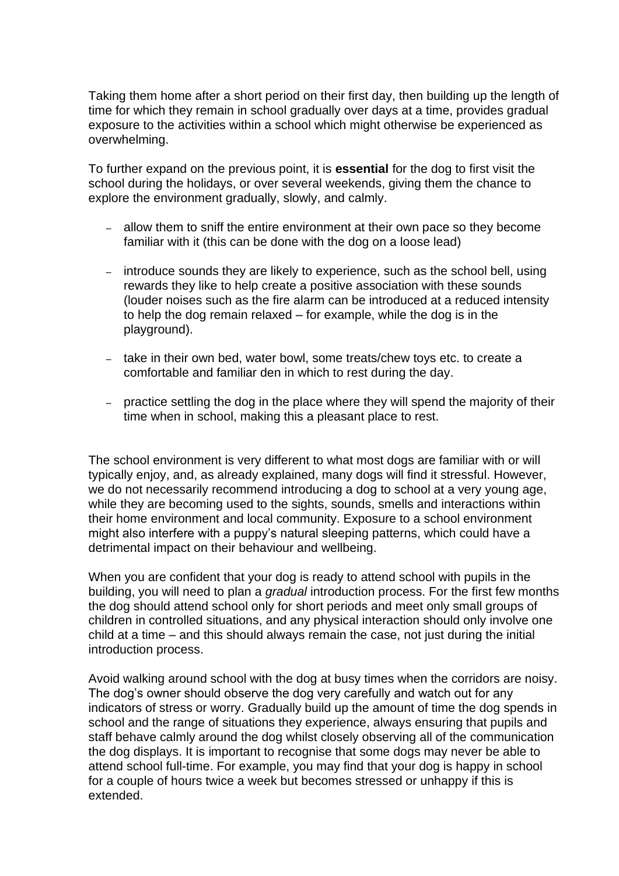Taking them home after a short period on their first day, then building up the length of time for which they remain in school gradually over days at a time, provides gradual exposure to the activities within a school which might otherwise be experienced as overwhelming.

To further expand on the previous point, it is **essential** for the dog to first visit the school during the holidays, or over several weekends, giving them the chance to explore the environment gradually, slowly, and calmly.

- allow them to sniff the entire environment at their own pace so they become familiar with it (this can be done with the dog on a loose lead)
- introduce sounds they are likely to experience, such as the school bell, using rewards they like to help create a positive association with these sounds (louder noises such as the fire alarm can be introduced at a reduced intensity to help the dog remain relaxed – for example, while the dog is in the playground).
- take in their own bed, water bowl, some treats/chew toys etc. to create a comfortable and familiar den in which to rest during the day.
- practice settling the dog in the place where they will spend the majority of their time when in school, making this a pleasant place to rest.

The school environment is very different to what most dogs are familiar with or will typically enjoy, and, as already explained, many dogs will find it stressful. However, we do not necessarily recommend introducing a dog to school at a very young age, while they are becoming used to the sights, sounds, smells and interactions within their home environment and local community. Exposure to a school environment might also interfere with a puppy's natural sleeping patterns, which could have a detrimental impact on their behaviour and wellbeing.

When you are confident that your dog is ready to attend school with pupils in the building, you will need to plan a *gradual* introduction process. For the first few months the dog should attend school only for short periods and meet only small groups of children in controlled situations, and any physical interaction should only involve one child at a time – and this should always remain the case, not just during the initial introduction process.

Avoid walking around school with the dog at busy times when the corridors are noisy. The dog's owner should observe the dog very carefully and watch out for any indicators of stress or worry. Gradually build up the amount of time the dog spends in school and the range of situations they experience, always ensuring that pupils and staff behave calmly around the dog whilst closely observing all of the communication the dog displays. It is important to recognise that some dogs may never be able to attend school full-time. For example, you may find that your dog is happy in school for a couple of hours twice a week but becomes stressed or unhappy if this is extended.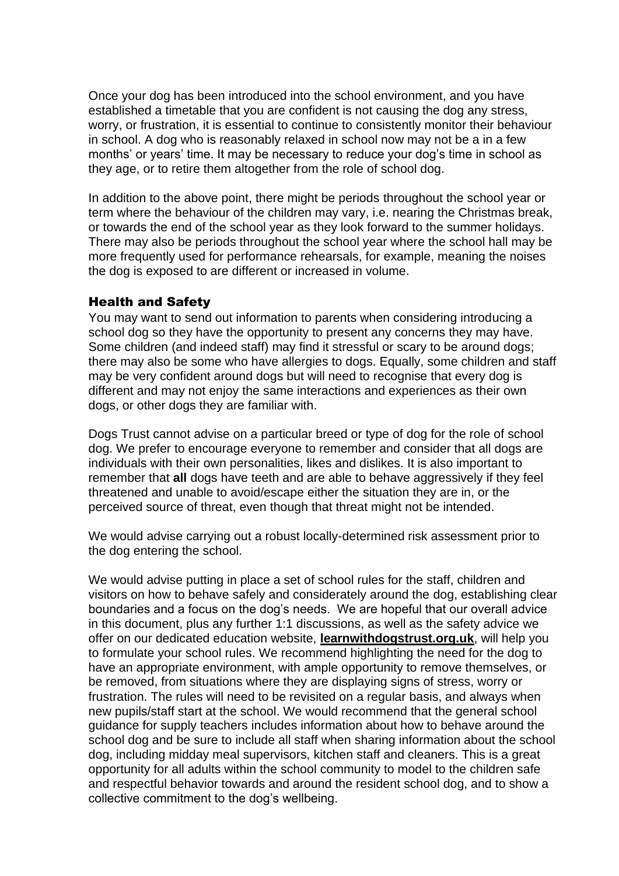Once your dog has been introduced into the school environment, and you have established a timetable that you are confident is not causing the dog any stress, worry, or frustration, it is essential to continue to consistently monitor their behaviour in school. A dog who is reasonably relaxed in school now may not be a in a few months' or years' time. It may be necessary to reduce your dog's time in school as they age, or to retire them altogether from the role of school dog.

In addition to the above point, there might be periods throughout the school year or term where the behaviour of the children may vary, i.e. nearing the Christmas break, or towards the end of the school year as they look forward to the summer holidays. There may also be periods throughout the school year where the school hall may be more frequently used for performance rehearsals, for example, meaning the noises the dog is exposed to are different or increased in volume.

#### Health and Safety

You may want to send out information to parents when considering introducing a school dog so they have the opportunity to present any concerns they may have. Some children (and indeed staff) may find it stressful or scary to be around dogs; there may also be some who have allergies to dogs. Equally, some children and staff may be very confident around dogs but will need to recognise that every dog is different and may not enjoy the same interactions and experiences as their own dogs, or other dogs they are familiar with.

Dogs Trust cannot advise on a particular breed or type of dog for the role of school dog. We prefer to encourage everyone to remember and consider that all dogs are individuals with their own personalities, likes and dislikes. It is also important to remember that **all** dogs have teeth and are able to behave aggressively if they feel threatened and unable to avoid/escape either the situation they are in, or the perceived source of threat, even though that threat might not be intended.

We would advise carrying out a robust locally-determined risk assessment prior to the dog entering the school.

We would advise putting in place a set of school rules for the staff, children and visitors on how to behave safely and considerately around the dog, establishing clear boundaries and a focus on the dog's needs. We are hopeful that our overall advice in this document, plus any further 1:1 discussions, as well as the safety advice we offer on our dedicated education website, **[learnwithdogstrust.org.uk](http://www.learnwithdogstrust.org.uk/)**, will help you to formulate your school rules. We recommend highlighting the need for the dog to have an appropriate environment, with ample opportunity to remove themselves, or be removed, from situations where they are displaying signs of stress, worry or frustration. The rules will need to be revisited on a regular basis, and always when new pupils/staff start at the school. We would recommend that the general school guidance for supply teachers includes information about how to behave around the school dog and be sure to include all staff when sharing information about the school dog, including midday meal supervisors, kitchen staff and cleaners. This is a great opportunity for all adults within the school community to model to the children safe and respectful behavior towards and around the resident school dog, and to show a collective commitment to the dog's wellbeing.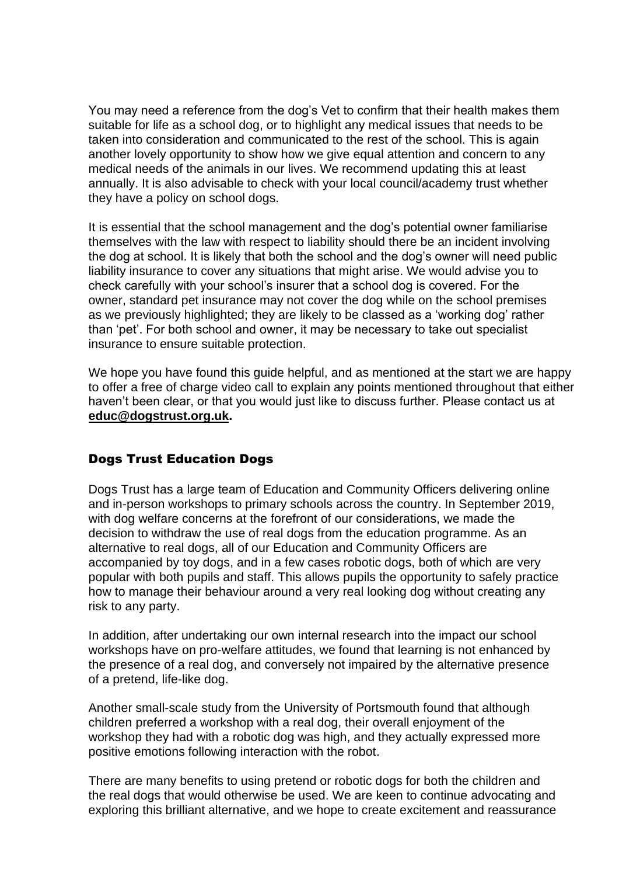You may need a reference from the dog's Vet to confirm that their health makes them suitable for life as a school dog, or to highlight any medical issues that needs to be taken into consideration and communicated to the rest of the school. This is again another lovely opportunity to show how we give equal attention and concern to any medical needs of the animals in our lives. We recommend updating this at least annually. It is also advisable to check with your local council/academy trust whether they have a policy on school dogs.

It is essential that the school management and the dog's potential owner familiarise themselves with the law with respect to liability should there be an incident involving the dog at school. It is likely that both the school and the dog's owner will need public liability insurance to cover any situations that might arise. We would advise you to check carefully with your school's insurer that a school dog is covered. For the owner, standard pet insurance may not cover the dog while on the school premises as we previously highlighted; they are likely to be classed as a 'working dog' rather than 'pet'. For both school and owner, it may be necessary to take out specialist insurance to ensure suitable protection.

We hope you have found this quide helpful, and as mentioned at the start we are happy to offer a free of charge video call to explain any points mentioned throughout that either haven't been clear, or that you would just like to discuss further. Please contact us at **[educ@dogstrust.org.uk.](mailto:educ@dogstrust.org.uk)**

## Dogs Trust Education Dogs

Dogs Trust has a large team of Education and Community Officers delivering online and in-person workshops to primary schools across the country. In September 2019, with dog welfare concerns at the forefront of our considerations, we made the decision to withdraw the use of real dogs from the education programme. As an alternative to real dogs, all of our Education and Community Officers are accompanied by toy dogs, and in a few cases robotic dogs, both of which are very popular with both pupils and staff. This allows pupils the opportunity to safely practice how to manage their behaviour around a very real looking dog without creating any risk to any party.

In addition, after undertaking our own internal research into the impact our school workshops have on pro-welfare attitudes, we found that learning is not enhanced by the presence of a real dog, and conversely not impaired by the alternative presence of a pretend, life-like dog.

Another small-scale study from the University of Portsmouth found that although children preferred a workshop with a real dog, their overall enjoyment of the workshop they had with a robotic dog was high, and they actually expressed more positive emotions following interaction with the robot.

There are many benefits to using pretend or robotic dogs for both the children and the real dogs that would otherwise be used. We are keen to continue advocating and exploring this brilliant alternative, and we hope to create excitement and reassurance